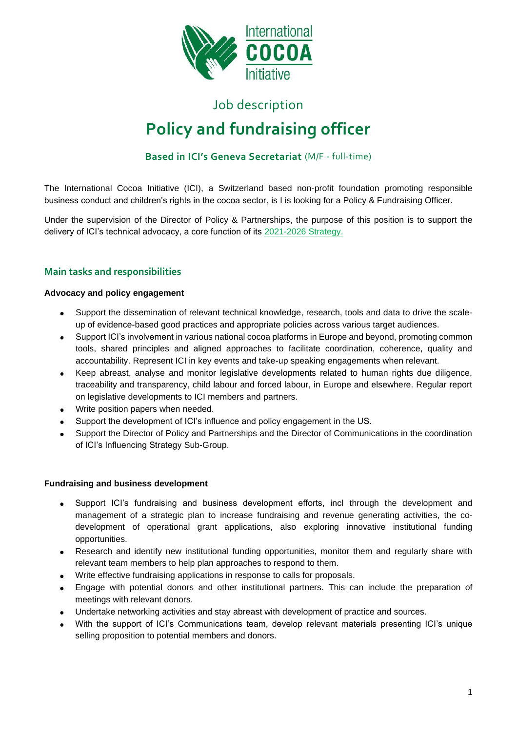

# Job description **Policy and fundraising officer**

# **Based in ICI's Geneva Secretariat** (M/F - full-time)

The International Cocoa Initiative (ICI), a Switzerland based non-profit foundation promoting responsible business conduct and children's rights in the cocoa sector, is I is looking for a Policy & Fundraising Officer.

Under the supervision of the Director of Policy & Partnerships, the purpose of this position is to support the delivery of ICI's technical advocacy, a core function of its [2021-2026 Strategy.](https://cocoainitiative.org/knowledge-centre-post/ici-strategy-2021-2026/)

# **Main tasks and responsibilities**

## **Advocacy and policy engagement**

- Support the dissemination of relevant technical knowledge, research, tools and data to drive the scaleup of evidence-based good practices and appropriate policies across various target audiences.
- Support ICI's involvement in various national cocoa platforms in Europe and beyond, promoting common tools, shared principles and aligned approaches to facilitate coordination, coherence, quality and accountability. Represent ICI in key events and take-up speaking engagements when relevant.
- Keep abreast, analyse and monitor legislative developments related to human rights due diligence, traceability and transparency, child labour and forced labour, in Europe and elsewhere. Regular report on legislative developments to ICI members and partners.
- Write position papers when needed.
- Support the development of ICI's influence and policy engagement in the US.
- Support the Director of Policy and Partnerships and the Director of Communications in the coordination of ICI's Influencing Strategy Sub-Group.

#### **Fundraising and business development**

- Support ICI's fundraising and business development efforts, incl through the development and management of a strategic plan to increase fundraising and revenue generating activities, the codevelopment of operational grant applications, also exploring innovative institutional funding opportunities.
- Research and identify new institutional funding opportunities, monitor them and regularly share with relevant team members to help plan approaches to respond to them.
- Write effective fundraising applications in response to calls for proposals.
- Engage with potential donors and other institutional partners. This can include the preparation of meetings with relevant donors.
- Undertake networking activities and stay abreast with development of practice and sources.
- With the support of ICI's Communications team, develop relevant materials presenting ICI's unique selling proposition to potential members and donors.